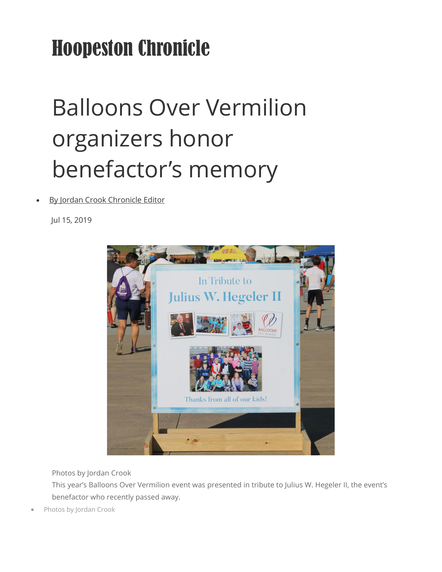## Hoopeston Chronicle

## Balloons Over Vermilion organizers honor benefactor's memory

[By Jordan Crook Chronicle Editor](https://www.newsbug.info/users/profile/chronreporter)

Jul 15, 2019



Photos by Jordan Crook

This year's Balloons Over Vermilion event was presented in tribute to Julius W. Hegeler II, the event's benefactor who recently passed away.

• Photos by Jordan Crook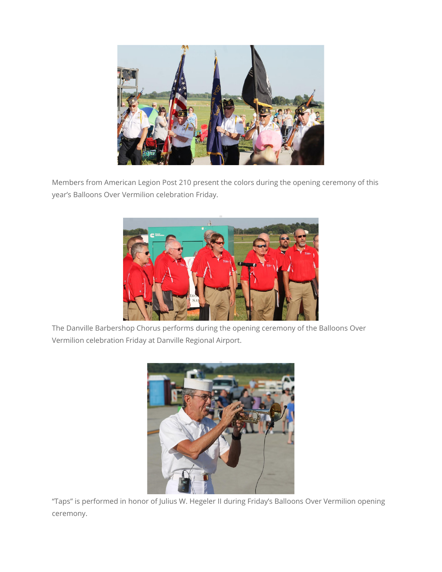

Members from American Legion Post 210 present the colors during the opening ceremony of this year's Balloons Over Vermilion celebration Friday.



The Danville Barbershop Chorus performs during the opening ceremony of the Balloons Over Vermilion celebration Friday at Danville Regional Airport.



"Taps" is performed in honor of Julius W. Hegeler II during Friday's Balloons Over Vermilion opening ceremony.